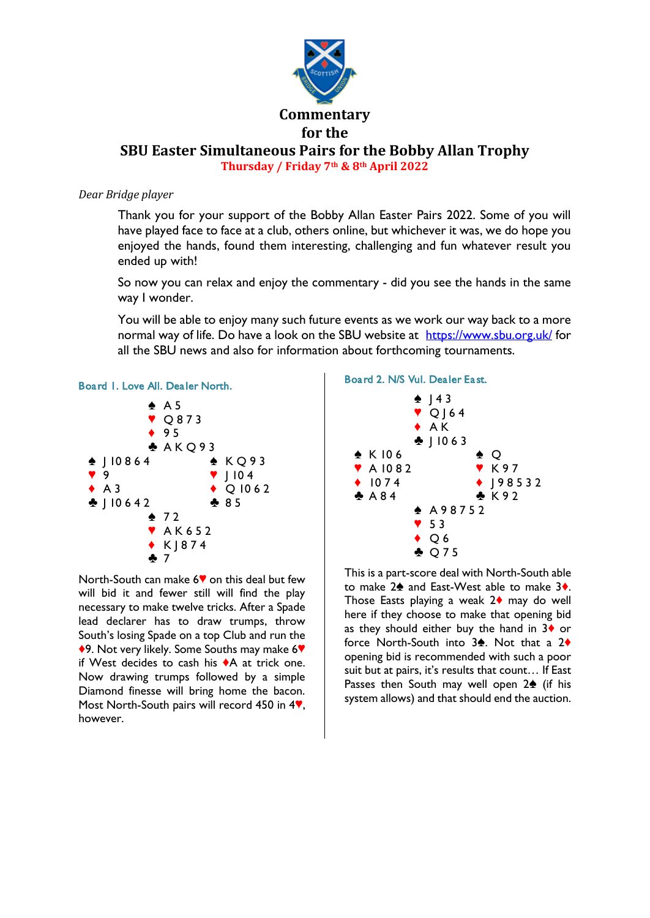

**SBU Easter Simultaneous Pairs for the Bobby Allan Trophy Thursday / Friday 7th & 8th April 2022**

# *Dear Bridge player*

Thank you for your support of the Bobby Allan Easter Pairs 2022. Some of you will have played face to face at a club, others online, but whichever it was, we do hope you enjoyed the hands, found them interesting, challenging and fun whatever result you ended up with!

So now you can relax and enjoy the commentary - did you see the hands in the same way I wonder.

You will be able to enjoy many such future events as we work our way back to a more normal way of life. Do have a look on the SBU website at <https://www.sbu.org.uk/> for all the SBU news and also for information about forthcoming tournaments.





North-South can make 6<sup> $\blacklozenge$ </sup> on this deal but few will bid it and fewer still will find the play necessary to make twelve tricks. After a Spade lead declarer has to draw trumps, throw South's losing Spade on a top Club and run the ◆9. Not very likely. Some Souths may make 6♥ if West decides to cash his  $\triangle A$  at trick one. Now drawing trumps followed by a simple Diamond finesse will bring home the bacon. Most North-South pairs will record 450 in  $4$ . however.

### Board 2. N/S Vul. Dealer East.



This is a part-score deal with North-South able to make  $2\spadesuit$  and East-West able to make  $3\spadesuit$ . Those Easts playing a weak  $2\diamond$  may do well here if they choose to make that opening bid as they should either buy the hand in  $3\diamond$  or force North-South into  $3\spadesuit$ . Not that a  $2\spadesuit$ opening bid is recommended with such a poor suit but at pairs, it's results that count… If East Passes then South may well open  $2\spadesuit$  (if his system allows) and that should end the auction.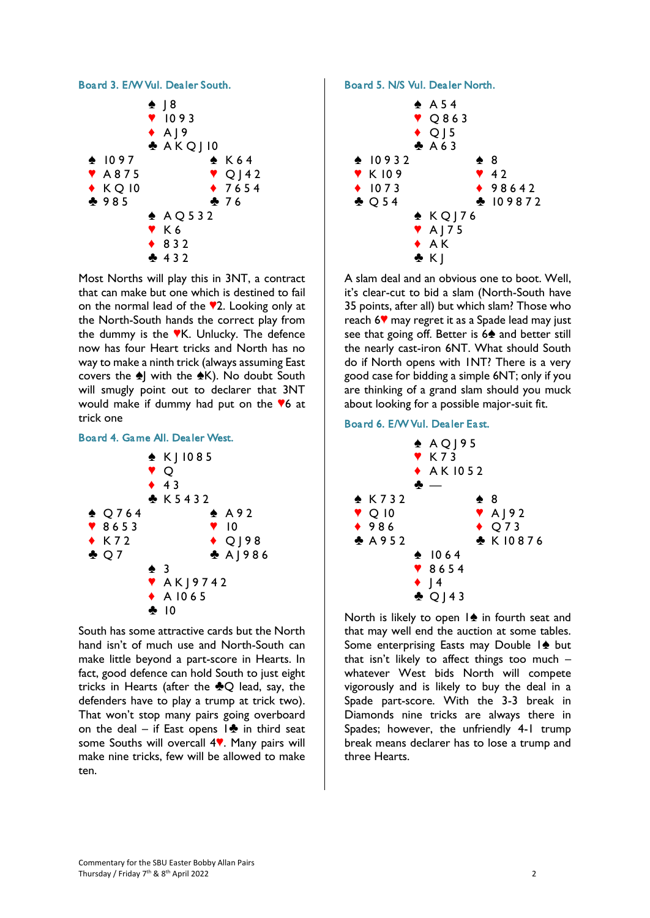

Most Norths will play this in 3NT, a contract that can make but one which is destined to fail on the normal lead of the  $\sqrt{2}$ . Looking only at the North-South hands the correct play from the dummy is the  $\mathbb{V}$ K. Unlucky. The defence now has four Heart tricks and North has no way to make a ninth trick (always assuming East covers the  $\triangle$ ] with the  $\triangle$ K). No doubt South will smugly point out to declarer that 3NT would make if dummy had put on the  $6$  at trick one

#### Board 4. Game All. Dealer West.



South has some attractive cards but the North hand isn't of much use and North-South can make little beyond a part-score in Hearts. In fact, good defence can hold South to just eight tricks in Hearts (after the  $\clubsuit$ O lead, say, the defenders have to play a trump at trick two). That won't stop many pairs going overboard on the deal – if East opens  $\mathbf{1} \cdot \mathbf{3}$  in third seat some Souths will overcall 4<sup>.</sup> Many pairs will make nine tricks, few will be allowed to make ten.

Board 5. N/S Vul. Dealer North.



A slam deal and an obvious one to boot. Well, it's clear-cut to bid a slam (North-South have 35 points, after all) but which slam? Those who reach  $6$  may regret it as a Spade lead may just see that going off. Better is 6<sup>2</sup> and better still the nearly cast-iron 6NT. What should South do if North opens with 1NT? There is a very good case for bidding a simple 6NT; only if you are thinking of a grand slam should you muck about looking for a possible major-suit fit.

## Board 6. E/W Vul. Dealer East.



North is likely to open  $1\spadesuit$  in fourth seat and that may well end the auction at some tables. Some enterprising Easts may Double  $\mathbf{1}\triangleq\mathbf{b}$ ut that isn't likely to affect things too much  $$ whatever West bids North will compete vigorously and is likely to buy the deal in a Spade part-score. With the 3-3 break in Diamonds nine tricks are always there in Spades; however, the unfriendly 4-1 trump break means declarer has to lose a trump and three Hearts.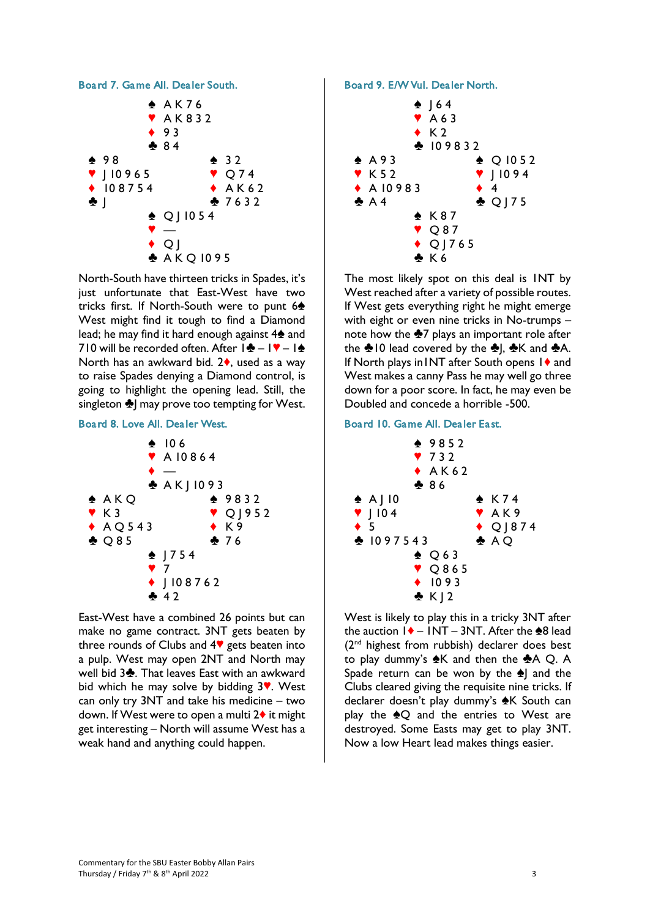

North-South have thirteen tricks in Spades, it's just unfortunate that East-West have two tricks first. If North-South were to punt 6<sup>4</sup> West might find it tough to find a Diamond lead; he may find it hard enough against  $4\spadesuit$  and 710 will be recorded often. After  $|\cdot|-| \cdot|$ North has an awkward bid.  $2\diamond$ , used as a way to raise Spades denying a Diamond control, is going to highlight the opening lead. Still, the singleton  $\triangleq$  may prove too tempting for West.

## Board 8. Love All. Dealer West.



East-West have a combined 26 points but can make no game contract. 3NT gets beaten by three rounds of Clubs and  $4\%$  gets beaten into a pulp. West may open 2NT and North may well bid 3<sup>2</sup>. That leaves East with an awkward bid which he may solve by bidding  $3$ . West can only try 3NT and take his medicine – two down. If West were to open a multi  $2\blacklozenge$  it might get interesting – North will assume West has a weak hand and anything could happen.

#### Board 9. E/W Vul. Dealer North.



The most likely spot on this deal is 1NT by West reached after a variety of possible routes. If West gets everything right he might emerge with eight or even nine tricks in No-trumps – note how the  $\clubsuit$ 7 plays an important role after the  $\triangle$ 10 lead covered by the  $\triangle$ ,  $\triangle$ K and  $\triangle$ A. If North plays in INT after South opens  $1\blacklozenge$  and West makes a canny Pass he may well go three down for a poor score. In fact, he may even be Doubled and concede a horrible -500.

## Board 10. Game All. Dealer East.



West is likely to play this in a tricky 3NT after the auction  $1\blacklozenge - 1$  NT – 3NT. After the  $\clubsuit 8$  lead (2<sup>nd</sup> highest from rubbish) declarer does best to play dummy's  $\triangle K$  and then the  $\triangle A$  Q. A Spade return can be won by the  $\triangle$  and the Clubs cleared giving the requisite nine tricks. If declarer doesn't play dummy's  $\triangle K$  South can play the  $\triangle Q$  and the entries to West are destroyed. Some Easts may get to play 3NT. Now a low Heart lead makes things easier.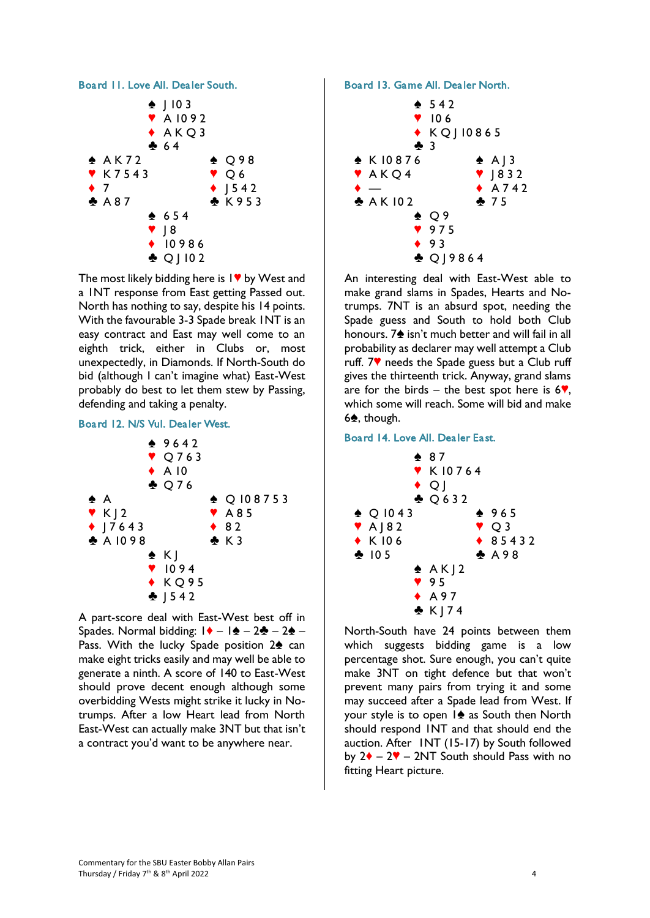

The most likely bidding here is  $1\blacktriangledown$  by West and a 1NT response from East getting Passed out. North has nothing to say, despite his 14 points. With the favourable 3-3 Spade break 1NT is an easy contract and East may well come to an eighth trick, either in Clubs or, most unexpectedly, in Diamonds. If North-South do bid (although I can't imagine what) East-West probably do best to let them stew by Passing, defending and taking a penalty.

## Board 12. N/S Vul. Dealer West.



A part-score deal with East-West best off in Spades. Normal bidding:  $1 \cdot - 1 \cdot - 2 \cdot - 2 \cdot -$ Pass. With the lucky Spade position  $2\spadesuit$  can make eight tricks easily and may well be able to generate a ninth. A score of 140 to East-West should prove decent enough although some overbidding Wests might strike it lucky in Notrumps. After a low Heart lead from North East-West can actually make 3NT but that isn't a contract you'd want to be anywhere near.

## Board 13. Game All. Dealer North.



An interesting deal with East-West able to make grand slams in Spades, Hearts and Notrumps. 7NT is an absurd spot, needing the Spade guess and South to hold both Club honours. 7<sup>h</sup> isn't much better and will fail in all probability as declarer may well attempt a Club ruff.  $7\blacktriangledown$  needs the Spade guess but a Club ruff gives the thirteenth trick. Anyway, grand slams are for the birds – the best spot here is  $6\%$ , which some will reach. Some will bid and make  $6$ <sup>,</sup> though.

## Board 14. Love All. Dealer East.



North-South have 24 points between them which suggests bidding game is a low percentage shot. Sure enough, you can't quite make 3NT on tight defence but that won't prevent many pairs from trying it and some may succeed after a Spade lead from West. If your style is to open  $1\spadesuit$  as South then North should respond 1NT and that should end the auction. After 1NT (15-17) by South followed by  $2\blacklozenge - 2\blacktriangledown - 2NT$  South should Pass with no fitting Heart picture.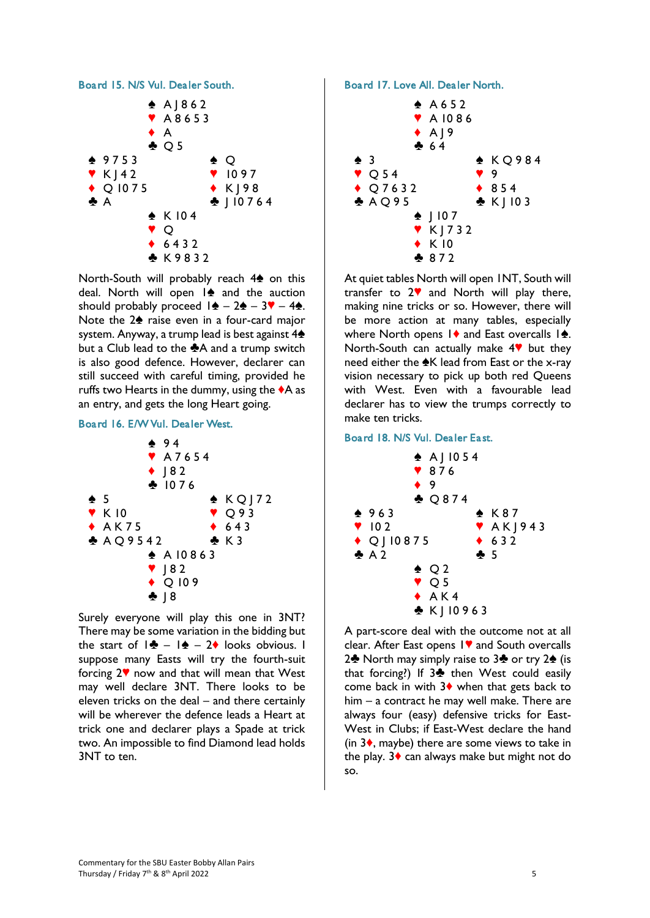

North-South will probably reach  $4\spadesuit$  on this deal. North will open  $1\spadesuit$  and the auction should probably proceed  $1\spadesuit - 2\spadesuit - 3\spadesuit - 4\spadesuit$ . Note the  $2\spadesuit$  raise even in a four-card major system. Anyway, a trump lead is best against 4<sup>2</sup> but a Club lead to the  $\clubsuit$ A and a trump switch is also good defence. However, declarer can still succeed with careful timing, provided he ruffs two Hearts in the dummy, using the  $\triangle$ A as an entry, and gets the long Heart going.

## Board 16. E/W Vul. Dealer West.



Surely everyone will play this one in 3NT? There may be some variation in the bidding but the start of  $|\cdot \cdot \cdot| = 1$  – 2 looks obvious. I suppose many Easts will try the fourth-suit forcing  $2\mathbf{v}$  now and that will mean that West may well declare 3NT. There looks to be eleven tricks on the deal – and there certainly will be wherever the defence leads a Heart at trick one and declarer plays a Spade at trick two. An impossible to find Diamond lead holds 3NT to ten.

## Board 17. Love All. Dealer North.



At quiet tables North will open 1NT, South will transfer to  $2^{\vee}$  and North will play there, making nine tricks or so. However, there will be more action at many tables, especially where North opens  $1\blacklozenge$  and East overcalls  $1\blacktriangle$ . North-South can actually make  $4$ <sup> $\blacktriangledown$ </sup> but they need either the  $\triangle K$  lead from East or the x-ray vision necessary to pick up both red Queens with West. Even with a favourable lead declarer has to view the trumps correctly to make ten tricks.

### Board 18. N/S Vul. Dealer East.



A part-score deal with the outcome not at all clear. After East opens  $1$  and South overcalls 2<sup> $\bullet$ </sup> North may simply raise to 3<sup> $\bullet$ </sup> or try 2 $\bullet$  (is that forcing?) If  $3\clubsuit$  then West could easily come back in with  $3\blacklozenge$  when that gets back to him – a contract he may well make. There are always four (easy) defensive tricks for East-West in Clubs; if East-West declare the hand (in  $3\bullet$ , maybe) there are some views to take in the play.  $3\blacklozenge$  can always make but might not do so.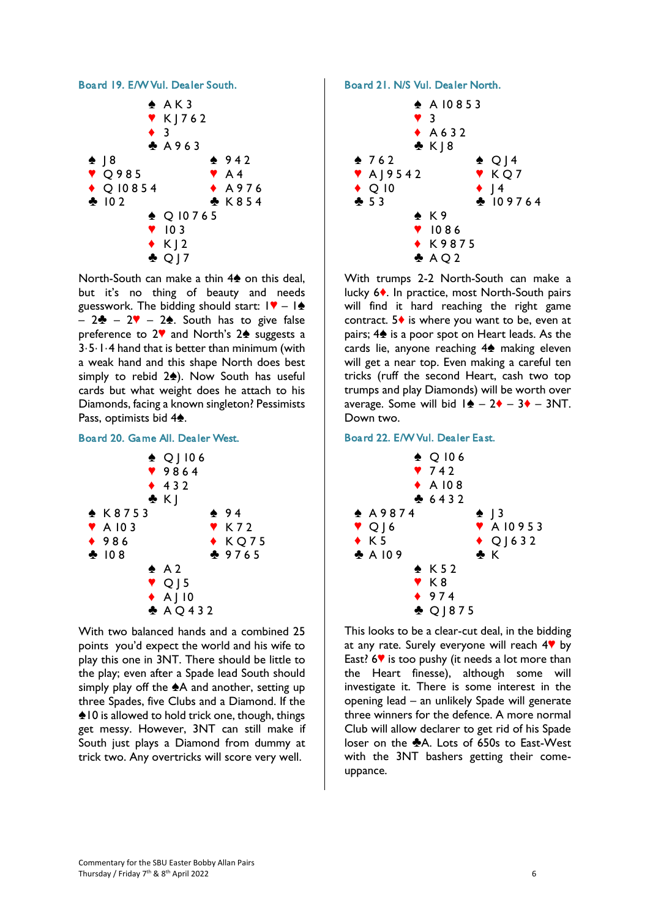## Board 19. E/W Vul. Dealer South.



North-South can make a thin  $4\spadesuit$  on this deal, but it's no thing of beauty and needs guesswork. The bidding should start:  $\mathbf{I} \cdot \mathbf{I} = \mathbf{A}$  $-2$  – 2 $\sqrt{2}$  – 2<sup> $\angle$ </sup>. South has to give false preference to  $2\blacktriangledown$  and North's  $2\blacktriangle$  suggests a 3·5·1·4 hand that is better than minimum (with a weak hand and this shape North does best simply to rebid  $2\spadesuit$ ). Now South has useful cards but what weight does he attach to his Diamonds, facing a known singleton? Pessimists Pass, optimists bid 4<sup>2</sup>.

#### Board 20. Game All. Dealer West.



With two balanced hands and a combined 25 points you'd expect the world and his wife to play this one in 3NT. There should be little to the play; even after a Spade lead South should simply play off the  $\triangle A$  and another, setting up three Spades, five Clubs and a Diamond. If the  $\triangle$  10 is allowed to hold trick one, though, things get messy. However, 3NT can still make if South just plays a Diamond from dummy at trick two. Any overtricks will score very well.

#### Board 21. N/S Vul. Dealer North.



With trumps 2-2 North-South can make a lucky 6<sup>\*</sup>. In practice, most North-South pairs will find it hard reaching the right game contract.  $5\blacklozenge$  is where you want to be, even at pairs;  $4\spadesuit$  is a poor spot on Heart leads. As the cards lie, anyone reaching  $4\spadesuit$  making eleven will get a near top. Even making a careful ten tricks (ruff the second Heart, cash two top trumps and play Diamonds) will be worth over average. Some will bid  $1\blacktriangle - 2\blacklozenge - 3\blacklozenge - 3NT$ . Down two.

## Board 22. E/W Vul. Dealer East.



This looks to be a clear-cut deal, in the bidding at any rate. Surely everyone will reach  $4\mathbb{V}$  by East?  $6\%$  is too pushy (it needs a lot more than the Heart finesse), although some will investigate it. There is some interest in the opening lead – an unlikely Spade will generate three winners for the defence. A more normal Club will allow declarer to get rid of his Spade loser on the  $\clubsuit$ A. Lots of 650s to East-West with the 3NT bashers getting their comeuppance.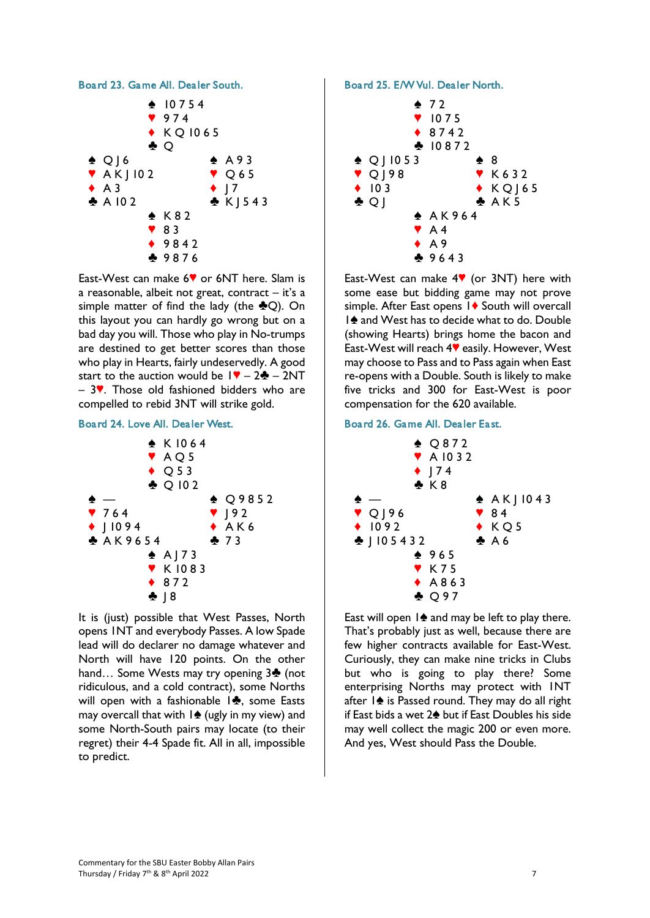

East-West can make 6<sup> $\bullet$ </sup> or 6NT here. Slam is a reasonable, albeit not great, contract – it's a simple matter of find the lady (the  $\clubsuit Q$ ). On this layout you can hardly go wrong but on a bad day you will. Those who play in No-trumps are destined to get better scores than those who play in Hearts, fairly undeservedly. A good start to the auction would be  $1\blacktriangledown - 2\clubsuit - 2NT$  $-$  3 $\blacktriangledown$ . Those old fashioned bidders who are compelled to rebid 3NT will strike gold.

# Board 24. Love All. Dealer West.



It is (just) possible that West Passes, North opens 1NT and everybody Passes. A low Spade lead will do declarer no damage whatever and North will have 120 points. On the other hand... Some Wests may try opening 3<sup>4</sup> (not ridiculous, and a cold contract), some Norths will open with a fashionable  $1\clubsuit$ , some Easts may overcall that with  $1\spadesuit$  (ugly in my view) and some North-South pairs may locate (to their regret) their 4-4 Spade fit. All in all, impossible to predict.

# Board 25. E/W Vul. Dealer North.



East-West can make  $4$  (or 3NT) here with some ease but bidding game may not prove simple. After East opens 1<sup>•</sup> South will overcall 1<sup>★</sup> and West has to decide what to do. Double (showing Hearts) brings home the bacon and East-West will reach 4<sup> $\blacklozenge$ </sup> easily. However, West may choose to Pass and to Pass again when East re-opens with a Double. South is likely to make five tricks and 300 for East-West is poor compensation for the 620 available.

# Board 26. Game All. Dealer East.



East will open  $1\spadesuit$  and may be left to play there. That's probably just as well, because there are few higher contracts available for East-West. Curiously, they can make nine tricks in Clubs but who is going to play there? Some enterprising Norths may protect with 1NT after  $\frac{1}{2}$  is Passed round. They may do all right if East bids a wet  $2\spadesuit$  but if East Doubles his side may well collect the magic 200 or even more. And yes, West should Pass the Double.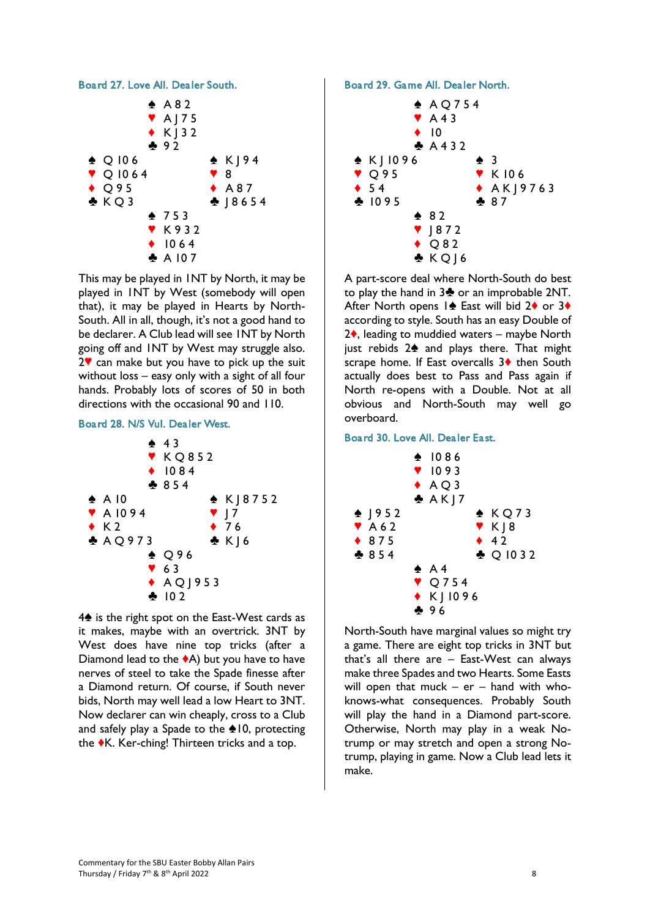

This may be played in 1NT by North, it may be played in 1NT by West (somebody will open that), it may be played in Hearts by North-South. All in all, though, it's not a good hand to be declarer. A Club lead will see 1NT by North going off and 1NT by West may struggle also.  $2$  can make but you have to pick up the suit without loss – easy only with a sight of all four hands. Probably lots of scores of 50 in both directions with the occasional 90 and 110.

## Board 28. N/S Vul. Dealer West.



 $4\spadesuit$  is the right spot on the East-West cards as it makes, maybe with an overtrick. 3NT by West does have nine top tricks (after a Diamond lead to the  $\triangle$ A) but you have to have nerves of steel to take the Spade finesse after a Diamond return. Of course, if South never bids, North may well lead a low Heart to 3NT. Now declarer can win cheaply, cross to a Club and safely play a Spade to the  $\triangle$ 10, protecting the  $\blacklozenge$ K. Ker-ching! Thirteen tricks and a top.

# Board 29. Game All. Dealer North.



A part-score deal where North-South do best to play the hand in  $3\clubsuit$  or an improbable 2NT. After North opens  $1\triangleq$  East will bid 2 $\triangleq$  or 3 $\triangleq$ according to style. South has an easy Double of  $2\diamond$ , leading to muddied waters – maybe North just rebids  $2\spadesuit$  and plays there. That might scrape home. If East overcalls  $3\diamond$  then South actually does best to Pass and Pass again if North re-opens with a Double. Not at all obvious and North-South may well go overboard.

## Board 30. Love All. Dealer East.



North-South have marginal values so might try a game. There are eight top tricks in 3NT but that's all there are – East-West can always make three Spades and two Hearts. Some Easts will open that muck  $-$  er  $-$  hand with whoknows-what consequences. Probably South will play the hand in a Diamond part-score. Otherwise, North may play in a weak Notrump or may stretch and open a strong Notrump, playing in game. Now a Club lead lets it make.